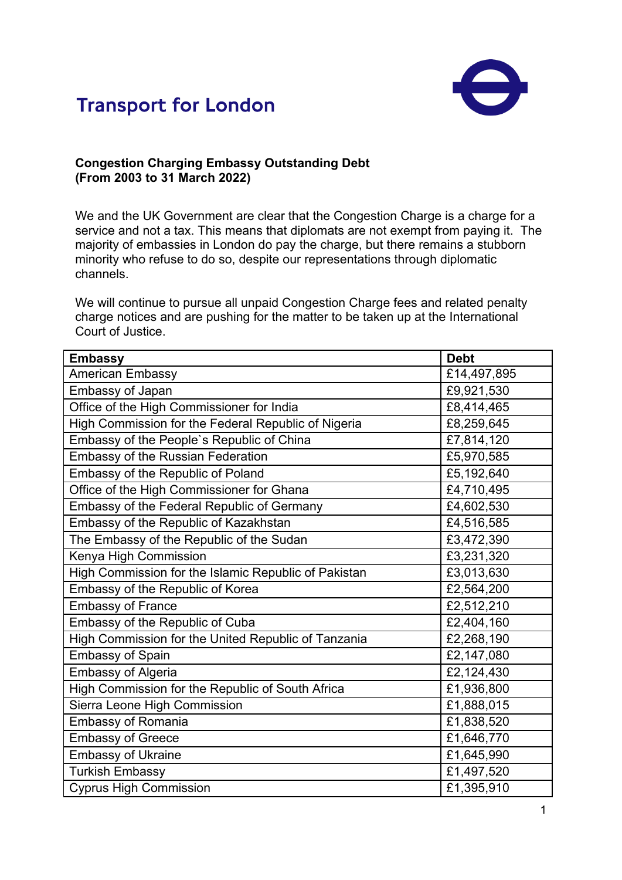



## **Congestion Charging Embassy Outstanding Debt (From 2003 to 31 March 2022)**

We and the UK Government are clear that the Congestion Charge is a charge for a service and not a tax. This means that diplomats are not exempt from paying it. The majority of embassies in London do pay the charge, but there remains a stubborn minority who refuse to do so, despite our representations through diplomatic channels.

We will continue to pursue all unpaid Congestion Charge fees and related penalty charge notices and are pushing for the matter to be taken up at the International Court of Justice.

| <b>Embassy</b>                                       | <b>Debt</b> |
|------------------------------------------------------|-------------|
| <b>American Embassy</b>                              | £14,497,895 |
| <b>Embassy of Japan</b>                              | £9,921,530  |
| Office of the High Commissioner for India            | £8,414,465  |
| High Commission for the Federal Republic of Nigeria  | £8,259,645  |
| Embassy of the People's Republic of China            | £7,814,120  |
| <b>Embassy of the Russian Federation</b>             | £5,970,585  |
| Embassy of the Republic of Poland                    | £5,192,640  |
| Office of the High Commissioner for Ghana            | £4,710,495  |
| Embassy of the Federal Republic of Germany           | £4,602,530  |
| Embassy of the Republic of Kazakhstan                | £4,516,585  |
| The Embassy of the Republic of the Sudan             | £3,472,390  |
| Kenya High Commission                                | £3,231,320  |
| High Commission for the Islamic Republic of Pakistan | £3,013,630  |
| Embassy of the Republic of Korea                     | £2,564,200  |
| <b>Embassy of France</b>                             | £2,512,210  |
| Embassy of the Republic of Cuba                      | £2,404,160  |
| High Commission for the United Republic of Tanzania  | £2,268,190  |
| <b>Embassy of Spain</b>                              | £2,147,080  |
| <b>Embassy of Algeria</b>                            | £2,124,430  |
| High Commission for the Republic of South Africa     | £1,936,800  |
| Sierra Leone High Commission                         | £1,888,015  |
| <b>Embassy of Romania</b>                            | £1,838,520  |
| <b>Embassy of Greece</b>                             | £1,646,770  |
| <b>Embassy of Ukraine</b>                            | £1,645,990  |
| <b>Turkish Embassy</b>                               | £1,497,520  |
| <b>Cyprus High Commission</b>                        | £1,395,910  |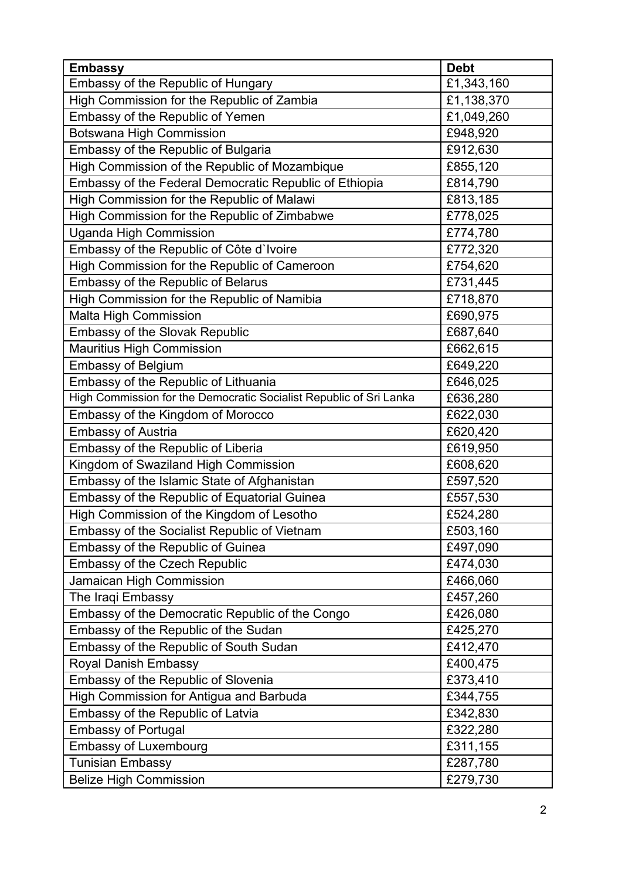| <b>Embassy</b>                                                     | <b>Debt</b> |
|--------------------------------------------------------------------|-------------|
| Embassy of the Republic of Hungary                                 | £1,343,160  |
| High Commission for the Republic of Zambia                         | £1,138,370  |
| Embassy of the Republic of Yemen                                   | £1,049,260  |
| <b>Botswana High Commission</b>                                    | £948,920    |
| Embassy of the Republic of Bulgaria                                | £912,630    |
| High Commission of the Republic of Mozambique                      | £855,120    |
| Embassy of the Federal Democratic Republic of Ethiopia             | £814,790    |
| High Commission for the Republic of Malawi                         | £813,185    |
| High Commission for the Republic of Zimbabwe                       | £778,025    |
| <b>Uganda High Commission</b>                                      | £774,780    |
| Embassy of the Republic of Côte d'Ivoire                           | £772,320    |
| High Commission for the Republic of Cameroon                       | £754,620    |
| Embassy of the Republic of Belarus                                 | £731,445    |
| High Commission for the Republic of Namibia                        | £718,870    |
| <b>Malta High Commission</b>                                       | £690,975    |
| <b>Embassy of the Slovak Republic</b>                              | £687,640    |
| <b>Mauritius High Commission</b>                                   | £662,615    |
| <b>Embassy of Belgium</b>                                          | £649,220    |
| Embassy of the Republic of Lithuania                               | £646,025    |
| High Commission for the Democratic Socialist Republic of Sri Lanka | £636,280    |
| Embassy of the Kingdom of Morocco                                  | £622,030    |
| <b>Embassy of Austria</b>                                          | £620,420    |
| Embassy of the Republic of Liberia                                 | £619,950    |
| Kingdom of Swaziland High Commission                               | £608,620    |
| Embassy of the Islamic State of Afghanistan                        | £597,520    |
| Embassy of the Republic of Equatorial Guinea                       | £557,530    |
| High Commission of the Kingdom of Lesotho                          | £524,280    |
| Embassy of the Socialist Republic of Vietnam                       | £503,160    |
| Embassy of the Republic of Guinea                                  | £497,090    |
| <b>Embassy of the Czech Republic</b>                               | £474,030    |
| Jamaican High Commission                                           | £466,060    |
| The Iraqi Embassy                                                  | £457,260    |
| Embassy of the Democratic Republic of the Congo                    | £426,080    |
| Embassy of the Republic of the Sudan                               | £425,270    |
| Embassy of the Republic of South Sudan                             | £412,470    |
| <b>Royal Danish Embassy</b>                                        | £400,475    |
| Embassy of the Republic of Slovenia                                | £373,410    |
| High Commission for Antigua and Barbuda                            | £344,755    |
| Embassy of the Republic of Latvia                                  | £342,830    |
| <b>Embassy of Portugal</b>                                         | £322,280    |
| <b>Embassy of Luxembourg</b>                                       | £311,155    |
| <b>Tunisian Embassy</b>                                            | £287,780    |
| <b>Belize High Commission</b>                                      | £279,730    |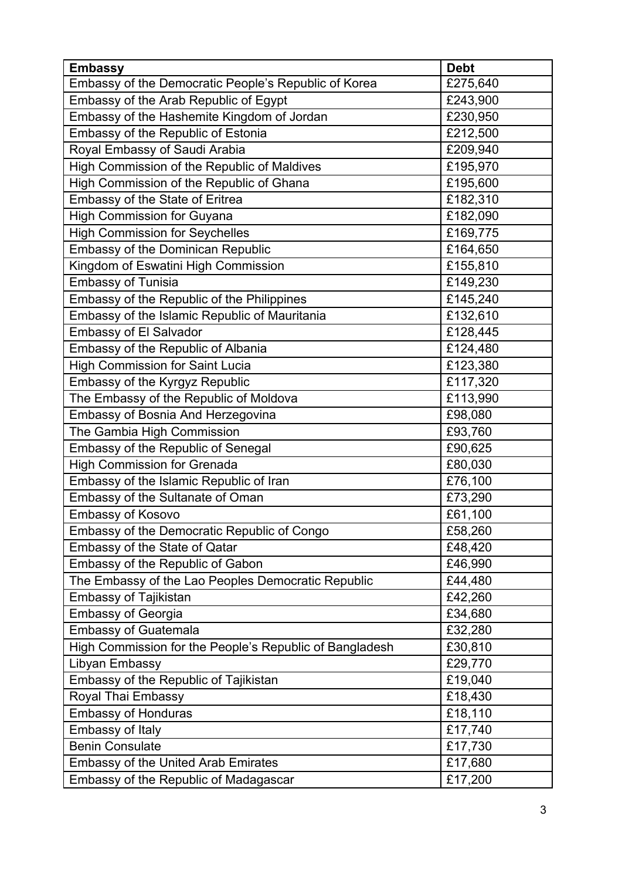| <b>Embassy</b>                                          | <b>Debt</b> |
|---------------------------------------------------------|-------------|
| Embassy of the Democratic People's Republic of Korea    | £275,640    |
| Embassy of the Arab Republic of Egypt                   | £243,900    |
| Embassy of the Hashemite Kingdom of Jordan              | £230,950    |
| Embassy of the Republic of Estonia                      | £212,500    |
| Royal Embassy of Saudi Arabia                           | £209,940    |
| High Commission of the Republic of Maldives             | £195,970    |
| High Commission of the Republic of Ghana                | £195,600    |
| Embassy of the State of Eritrea                         | £182,310    |
| <b>High Commission for Guyana</b>                       | £182,090    |
| <b>High Commission for Seychelles</b>                   | £169,775    |
| <b>Embassy of the Dominican Republic</b>                | £164,650    |
| Kingdom of Eswatini High Commission                     | £155,810    |
| <b>Embassy of Tunisia</b>                               | £149,230    |
| Embassy of the Republic of the Philippines              | £145,240    |
| Embassy of the Islamic Republic of Mauritania           | £132,610    |
| <b>Embassy of El Salvador</b>                           | £128,445    |
| Embassy of the Republic of Albania                      | £124,480    |
| <b>High Commission for Saint Lucia</b>                  | £123,380    |
| Embassy of the Kyrgyz Republic                          | £117,320    |
| The Embassy of the Republic of Moldova                  | £113,990    |
| Embassy of Bosnia And Herzegovina                       | £98,080     |
| The Gambia High Commission                              | £93,760     |
| Embassy of the Republic of Senegal                      | £90,625     |
| <b>High Commission for Grenada</b>                      | £80,030     |
| Embassy of the Islamic Republic of Iran                 | £76,100     |
| Embassy of the Sultanate of Oman                        | £73,290     |
| Embassy of Kosovo                                       | £61,100     |
| Embassy of the Democratic Republic of Congo             | £58,260     |
| <b>Embassy of the State of Qatar</b>                    | £48,420     |
| Embassy of the Republic of Gabon                        | £46,990     |
| The Embassy of the Lao Peoples Democratic Republic      | £44,480     |
| <b>Embassy of Tajikistan</b>                            | £42,260     |
| <b>Embassy of Georgia</b>                               | £34,680     |
| <b>Embassy of Guatemala</b>                             | £32,280     |
| High Commission for the People's Republic of Bangladesh | £30,810     |
| Libyan Embassy                                          | £29,770     |
| Embassy of the Republic of Tajikistan                   | £19,040     |
| Royal Thai Embassy                                      | £18,430     |
| <b>Embassy of Honduras</b>                              | £18,110     |
| Embassy of Italy                                        | £17,740     |
| <b>Benin Consulate</b>                                  | £17,730     |
| <b>Embassy of the United Arab Emirates</b>              | £17,680     |
| Embassy of the Republic of Madagascar                   | £17,200     |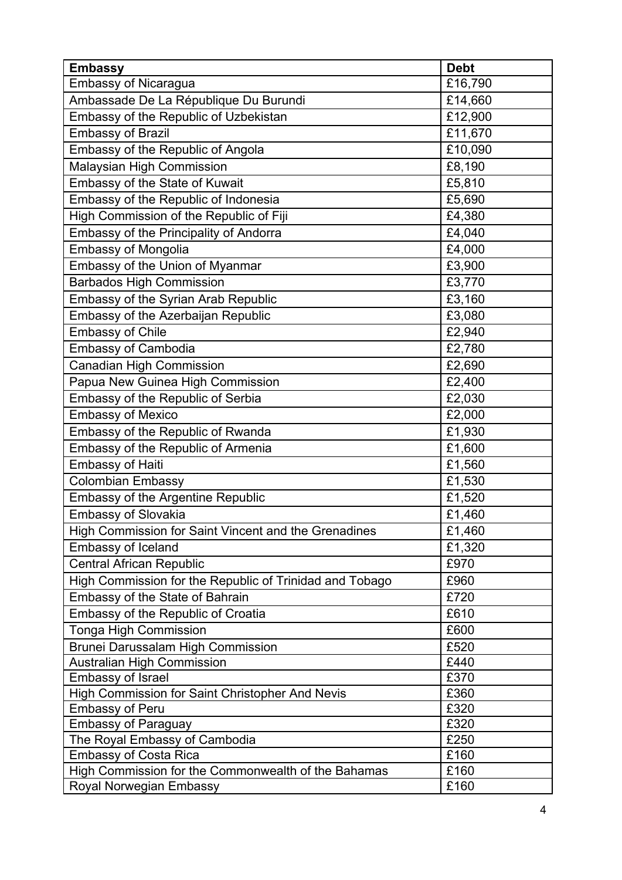| <b>Embassy</b>                                          | <b>Debt</b> |
|---------------------------------------------------------|-------------|
| <b>Embassy of Nicaragua</b>                             | £16,790     |
| Ambassade De La République Du Burundi                   | £14,660     |
| Embassy of the Republic of Uzbekistan                   | £12,900     |
| <b>Embassy of Brazil</b>                                | £11,670     |
| Embassy of the Republic of Angola                       | £10,090     |
| Malaysian High Commission                               | £8,190      |
| Embassy of the State of Kuwait                          | £5,810      |
| Embassy of the Republic of Indonesia                    | £5,690      |
| High Commission of the Republic of Fiji                 | £4,380      |
| Embassy of the Principality of Andorra                  | £4,040      |
| <b>Embassy of Mongolia</b>                              | £4,000      |
| Embassy of the Union of Myanmar                         | £3,900      |
| <b>Barbados High Commission</b>                         | £3,770      |
| Embassy of the Syrian Arab Republic                     | £3,160      |
| Embassy of the Azerbaijan Republic                      | £3,080      |
| <b>Embassy of Chile</b>                                 | £2,940      |
| <b>Embassy of Cambodia</b>                              | £2,780      |
| <b>Canadian High Commission</b>                         | £2,690      |
| Papua New Guinea High Commission                        | £2,400      |
| Embassy of the Republic of Serbia                       | £2,030      |
| <b>Embassy of Mexico</b>                                | £2,000      |
| Embassy of the Republic of Rwanda                       | £1,930      |
| Embassy of the Republic of Armenia                      | £1,600      |
| <b>Embassy of Haiti</b>                                 | £1,560      |
| <b>Colombian Embassy</b>                                | £1,530      |
| <b>Embassy of the Argentine Republic</b>                | £1,520      |
| <b>Embassy of Slovakia</b>                              | £1,460      |
| High Commission for Saint Vincent and the Grenadines    | £1,460      |
| Embassy of Iceland                                      | £1,320      |
| <b>Central African Republic</b>                         | £970        |
| High Commission for the Republic of Trinidad and Tobago | £960        |
| Embassy of the State of Bahrain                         | £720        |
| Embassy of the Republic of Croatia                      | £610        |
| Tonga High Commission                                   | £600        |
| <b>Brunei Darussalam High Commission</b>                | £520        |
| <b>Australian High Commission</b>                       | £440        |
| <b>Embassy of Israel</b>                                | £370        |
| High Commission for Saint Christopher And Nevis         | £360        |
| <b>Embassy of Peru</b>                                  | £320        |
| <b>Embassy of Paraguay</b>                              | £320        |
| The Royal Embassy of Cambodia                           | £250        |
| <b>Embassy of Costa Rica</b>                            | £160        |
| High Commission for the Commonwealth of the Bahamas     | £160        |
| Royal Norwegian Embassy                                 | £160        |